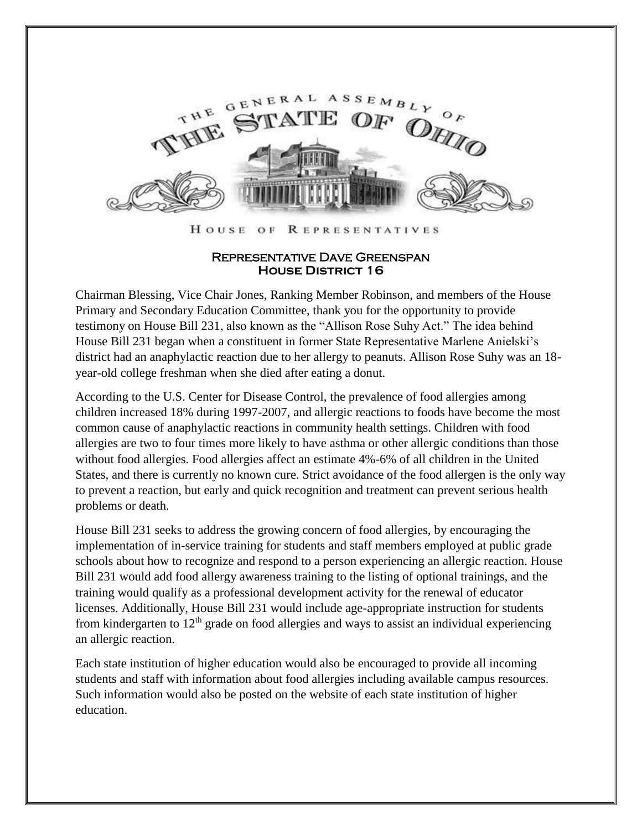

HOUSE OF **REPRESENTATIVES** 

## Representative Dave Greenspan **House District 16**

Chairman Blessing, Vice Chair Jones, Ranking Member Robinson, and members of the House Primary and Secondary Education Committee, thank you for the opportunity to provide testimony on House Bill 231, also known as the "Allison Rose Suhy Act." The idea behind House Bill 231 began when a constituent in former State Representative Marlene Anielski's district had an anaphylactic reaction due to her allergy to peanuts. Allison Rose Suhy was an 18 year-old college freshman when she died after eating a donut.

According to the U.S. Center for Disease Control, the prevalence of food allergies among children increased 18% during 1997-2007, and allergic reactions to foods have become the most common cause of anaphylactic reactions in community health settings. Children with food allergies are two to four times more likely to have asthma or other allergic conditions than those without food allergies. Food allergies affect an estimate 4%-6% of all children in the United States, and there is currently no known cure. Strict avoidance of the food allergen is the only way to prevent a reaction, but early and quick recognition and treatment can prevent serious health problems or death.

House Bill 231 seeks to address the growing concern of food allergies, by encouraging the implementation of in-service training for students and staff members employed at public grade schools about how to recognize and respond to a person experiencing an allergic reaction. House Bill 231 would add food allergy awareness training to the listing of optional trainings, and the training would qualify as a professional development activity for the renewal of educator licenses. Additionally, House Bill 231 would include age-appropriate instruction for students from kindergarten to  $12<sup>th</sup>$  grade on food allergies and ways to assist an individual experiencing an allergic reaction.

Each state institution of higher education would also be encouraged to provide all incoming students and staff with information about food allergies including available campus resources. Such information would also be posted on the website of each state institution of higher education.